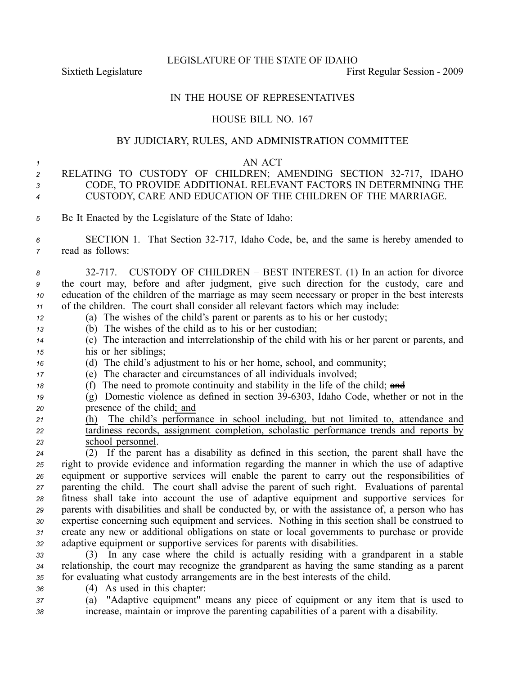LEGISLATURE OF THE STATE OF IDAHO

Sixtieth Legislature **First** Regular Session - 2009

## IN THE HOUSE OF REPRESENTATIVES

## HOUSE BILL NO. 167

## BY JUDICIARY, RULES, AND ADMINISTRATION COMMITTEE

## *1* AN ACT

- 2 RELATING TO CUSTODY OF CHILDREN; AMENDING SECTION 32-717, IDAHO *<sup>3</sup>* CODE, TO PROVIDE ADDITIONAL RELEVANT FACTORS IN DETERMINING THE *<sup>4</sup>* CUSTODY, CARE AND EDUCATION OF THE CHILDREN OF THE MARRIAGE.
- *<sup>5</sup>* Be It Enacted by the Legislature of the State of Idaho:
- *<sup>6</sup>* SECTION 1. That Section 32717, Idaho Code, be, and the same is hereby amended to *<sup>7</sup>* read as follows:
- 8 32-717. CUSTODY OF CHILDREN BEST INTEREST. (1) In an action for divorce *<sup>9</sup>* the court may, before and after judgment, give such direction for the custody, care and *<sup>10</sup>* education of the children of the marriage as may seem necessary or proper in the best interests *<sup>11</sup>* of the children. The court shall consider all relevant factors which may include:
- *<sup>12</sup>* (a) The wishes of the child's paren<sup>t</sup> or parents as to his or her custody;
- *<sup>13</sup>* (b) The wishes of the child as to his or her custodian;
- *<sup>14</sup>* (c) The interaction and interrelationship of the child with his or her paren<sup>t</sup> or parents, and *<sup>15</sup>* his or her siblings;
- *<sup>16</sup>* (d) The child's adjustment to his or her home, school, and community;

*<sup>17</sup>* (e) The character and circumstances of all individuals involved;

- 18 (f) The need to promote continuity and stability in the life of the child; and
- *<sup>19</sup>* (g) Domestic violence as defined in section 396303, Idaho Code, whether or not in the *<sup>20</sup>* presence of the child; and
- *<sup>21</sup>* (h) The child's performance in school including, but not limited to, attendance and *<sup>22</sup>* tardiness records, assignment completion, scholastic performance trends and reports by *<sup>23</sup>* school personnel.

 (2) If the paren<sup>t</sup> has <sup>a</sup> disability as defined in this section, the paren<sup>t</sup> shall have the right to provide evidence and information regarding the manner in which the use of adaptive equipment or supportive services will enable the paren<sup>t</sup> to carry out the responsibilities of parenting the child. The court shall advise the paren<sup>t</sup> of such right. Evaluations of parental fitness shall take into account the use of adaptive equipment and supportive services for parents with disabilities and shall be conducted by, or with the assistance of, <sup>a</sup> person who has expertise concerning such equipment and services. Nothing in this section shall be construed to create any new or additional obligations on state or local governments to purchase or provide adaptive equipment or supportive services for parents with disabilities.

*<sup>33</sup>* (3) In any case where the child is actually residing with <sup>a</sup> grandparent in <sup>a</sup> stable *<sup>34</sup>* relationship, the court may recognize the grandparent as having the same standing as <sup>a</sup> paren<sup>t</sup> *<sup>35</sup>* for evaluating what custody arrangements are in the best interests of the child.

*<sup>36</sup>* (4) As used in this chapter:

*<sup>37</sup>* (a) "Adaptive equipment" means any piece of equipment or any item that is used to *<sup>38</sup>* increase, maintain or improve the parenting capabilities of <sup>a</sup> paren<sup>t</sup> with <sup>a</sup> disability.